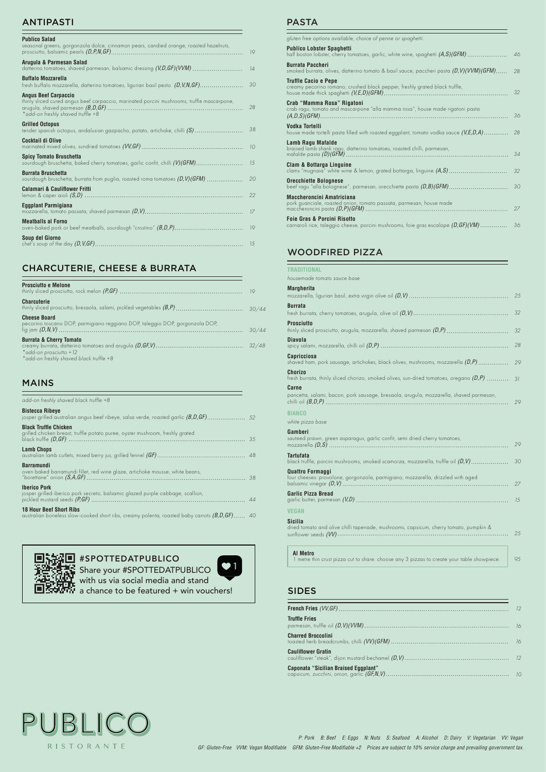*P: Pork B: Beef E: Eggs N: Nuts S: Seafood A: Alcohol D: Dairy V: Vegetarian VV: Vegan*

*GF: Gluten-Free VVM: Vegan Modifiable GFM: Gluten-Free Modifiable +2 Prices are subject to 10% service charge and prevailing government tax.*

# ANTIPASTI

## MAINS

| add-on freshly shaved black truffle +8                                                                        |  |
|---------------------------------------------------------------------------------------------------------------|--|
| <b>Bistecca Ribeye</b>                                                                                        |  |
| <b>Black Truffle Chicken</b><br>grilled chicken breast, truffle potato puree, oyster mushroom, freshly grated |  |
| <b>Lamb Chops</b>                                                                                             |  |
| <b>Barramundi</b><br>oven baked barramundi fillet, red wine glaze, artichoke mousse, white beans,             |  |
| <b>Iberico Pork</b><br>josper grilled iberico pork secreto, balsamic glazed purple cabbage, scallion,         |  |
| <b>18 Hour Beef Short Ribs</b>                                                                                |  |

*40* australian boneless slow-cooked short ribs, creamy polenta, roasted baby carrots *(B,D,GF)*

# PASTA

*95* **AL Metro** 1 **AL Metro** 1 **M** Metro 1 metre thin crust pizza cut to share. choose any 3 pizzas to create your table showpiece.<br> **Share your #SPOTTEDATPUBLICO** 

# **EXPORT** a chance to be featured + win vouchers!

Share your #SPOTTEDATPUBLICO with us via social media and stand

| <b>Publico Salad</b><br>seasonal greens, gorgonzola dolce, cinnamon pears, candied orange, roasted hazelnuts,                                                  | 19  |
|----------------------------------------------------------------------------------------------------------------------------------------------------------------|-----|
| Arugula & Parmesan Salad<br>datterino tomatoes, shaved parmesan, balsamic dressing (V,D,GF)(VVM)                                                               | 14  |
| <b>Buffalo Mozzarella</b>                                                                                                                                      | 30  |
| <b>Angus Beef Carpaccio</b><br>thinly sliced cured angus beef carpaccio, marinated porcini mushrooms, truffle mascarpone,<br>*add-on freshly shaved truffle +8 | 28  |
| <b>Grilled Octopus</b><br>tender spanish octopus, andalusian gazpacho, potato, artichoke, chilli $(S)$                                                         | 38  |
| Cocktail di Olive                                                                                                                                              | 10  |
| <b>Spicy Tomato Bruschetta</b><br>sourdough bruschetta, baked cherry tomatoes, garlic confit, chilli (V)(GFM)                                                  | 1.5 |
| <b>Burrata Bruschetta</b><br>sourdough bruschetta, burrata from puglia, roasted roma tomatoes $(D, V)(GFM)$                                                    | 20  |
| <b>Calamari &amp; Cauliflower Fritti</b>                                                                                                                       | 22  |
| Eggplant Parmigiana                                                                                                                                            | 17  |
| <b>Meatballs al Forno</b>                                                                                                                                      | 19  |
| Soup del Giorno                                                                                                                                                | 15  |
|                                                                                                                                                                |     |

| gluten free options available, choice of penne or spaghetti.<br><b>Publico Lobster Spaghetti</b><br>half boston lobster, cherry tomatoes, garlic, white wine, spaghetti $(A, S)(GFM)$<br>46<br><b>Burrata Paccheri</b><br>smoked burrata, olives, datterino tomato & basil sauce, paccheri pasta $(D, V)(VVM)(GFM)$<br>28<br><b>Truffle Cacio e Pepe</b><br>creamy pecorino romano, crushed black pepper, freshly grated black truffle,<br>32<br>Crab "Mamma Rosa" Rigatoni<br>crab ragu, tomato and mascarpone "alla mamma rosa", house made rigatoni pasta<br>36<br>Vodka Tortelli<br>house made tortelli pasta filled with roasted eggplant, tomato vodka sauce $(V,E,D,A)$<br>28<br>Lamb Ragu Mafalde<br>braised lamb shank ragu, datterino tomatoes, roasted chilli, parmesan,<br>34<br>Clam & Bottarga Linguine<br>clams "mugnaia" white wine & lemon, grated bottarga, linguine $(A, S)$<br>32<br><b>Orecchiette Bolognese</b><br>30<br>beef ragu "alla bolognese", parmesan, orecchiette pasta $(D,B)(GFM)$<br><b>Maccheroncini Amatriciana</b><br>pork guanciale, roasted onion, tomato passata, parmesan, house made<br>27<br><b>Foie Gras &amp; Porcini Risotto</b><br>carnaroli rice, taleggio cheese, porcini mushrooms, foie gras escalope $(D, GF)(VM)$<br>36 |  |
|------------------------------------------------------------------------------------------------------------------------------------------------------------------------------------------------------------------------------------------------------------------------------------------------------------------------------------------------------------------------------------------------------------------------------------------------------------------------------------------------------------------------------------------------------------------------------------------------------------------------------------------------------------------------------------------------------------------------------------------------------------------------------------------------------------------------------------------------------------------------------------------------------------------------------------------------------------------------------------------------------------------------------------------------------------------------------------------------------------------------------------------------------------------------------------------------------------------------------------------------------------------------------|--|
|                                                                                                                                                                                                                                                                                                                                                                                                                                                                                                                                                                                                                                                                                                                                                                                                                                                                                                                                                                                                                                                                                                                                                                                                                                                                              |  |
|                                                                                                                                                                                                                                                                                                                                                                                                                                                                                                                                                                                                                                                                                                                                                                                                                                                                                                                                                                                                                                                                                                                                                                                                                                                                              |  |
|                                                                                                                                                                                                                                                                                                                                                                                                                                                                                                                                                                                                                                                                                                                                                                                                                                                                                                                                                                                                                                                                                                                                                                                                                                                                              |  |
|                                                                                                                                                                                                                                                                                                                                                                                                                                                                                                                                                                                                                                                                                                                                                                                                                                                                                                                                                                                                                                                                                                                                                                                                                                                                              |  |
|                                                                                                                                                                                                                                                                                                                                                                                                                                                                                                                                                                                                                                                                                                                                                                                                                                                                                                                                                                                                                                                                                                                                                                                                                                                                              |  |
|                                                                                                                                                                                                                                                                                                                                                                                                                                                                                                                                                                                                                                                                                                                                                                                                                                                                                                                                                                                                                                                                                                                                                                                                                                                                              |  |
|                                                                                                                                                                                                                                                                                                                                                                                                                                                                                                                                                                                                                                                                                                                                                                                                                                                                                                                                                                                                                                                                                                                                                                                                                                                                              |  |
|                                                                                                                                                                                                                                                                                                                                                                                                                                                                                                                                                                                                                                                                                                                                                                                                                                                                                                                                                                                                                                                                                                                                                                                                                                                                              |  |
|                                                                                                                                                                                                                                                                                                                                                                                                                                                                                                                                                                                                                                                                                                                                                                                                                                                                                                                                                                                                                                                                                                                                                                                                                                                                              |  |
|                                                                                                                                                                                                                                                                                                                                                                                                                                                                                                                                                                                                                                                                                                                                                                                                                                                                                                                                                                                                                                                                                                                                                                                                                                                                              |  |
|                                                                                                                                                                                                                                                                                                                                                                                                                                                                                                                                                                                                                                                                                                                                                                                                                                                                                                                                                                                                                                                                                                                                                                                                                                                                              |  |

# WOODFIRED PIZZA

|  |  |  | <b>TRADITIONAL</b> |  |  |
|--|--|--|--------------------|--|--|

| housemade tomato sauce base |  |  |
|-----------------------------|--|--|
|                             |  |  |

| <b>Margherita</b>                                                                                          | 25 |
|------------------------------------------------------------------------------------------------------------|----|
| <b>Burrata</b>                                                                                             | 32 |
| <b>Prosciutto</b>                                                                                          | 32 |
| <b>Diavola</b>                                                                                             | 28 |
| <b>Capricciosa</b><br>shaved ham, pork sausage, artichokes, black olives, mushrooms, mozzarella $(D,P)$    | 29 |
| Chorizo<br>fresh burrata, thinly sliced chorizo, smoked olives, sun-dried tomatoes, oregano $(D, P)$       | 31 |
| Carne<br>pancetta, salami, bacon, pork sausage, bresaola, arugula, mozzarella, shaved parmesan,            | 29 |
| <b>BIANCO</b><br>white pizza base                                                                          |    |
| Gamberi<br>sauteed prawn, green asparagus, garlic confit, semi dried cherry tomatoes,                      | 29 |
| <b>Tartufata</b><br>black truffle, porcini mushrooms, smoked scamorza, mozzarella, truffle oil $(D, V)$    | 30 |
| <b>Quattro Formaggi</b><br>four cheeses: provolone, gorgonzola, parmigiano, mozzarella, drizzled with aged | 27 |
| <b>Garlic Pizza Bread</b>                                                                                  | 15 |
| <b>VEGAN</b>                                                                                               |    |
| <b>Sicilia</b><br>dried tomato and olive chilli tapenade, mushrooms, capsicum, cherry tomato, pumpkin &    | 25 |

# CHARCUTERIE, CHEESE & BURRATA

| <b>Prosciutto e Melone</b>                                                                                 |       |
|------------------------------------------------------------------------------------------------------------|-------|
| <b>Charcuterie</b>                                                                                         |       |
| <b>Cheese Board</b><br>pecorino toscano DOP, parmigiano reggiano DOP, taleggio DOP, gorgonzola DOP,        | 30/44 |
| <b>Burrata &amp; Cherry Tomato</b><br>$*$ add-on prosciutto +12<br>*add-on freshly shaved black truffle +8 |       |

## SIDES

| <b>Truffle Fries</b>                 |  |
|--------------------------------------|--|
| <b>Charred Broccolini</b>            |  |
| <b>Cauliflower Gratin</b>            |  |
| Caponata "Sicilian Braised Eggplant" |  |